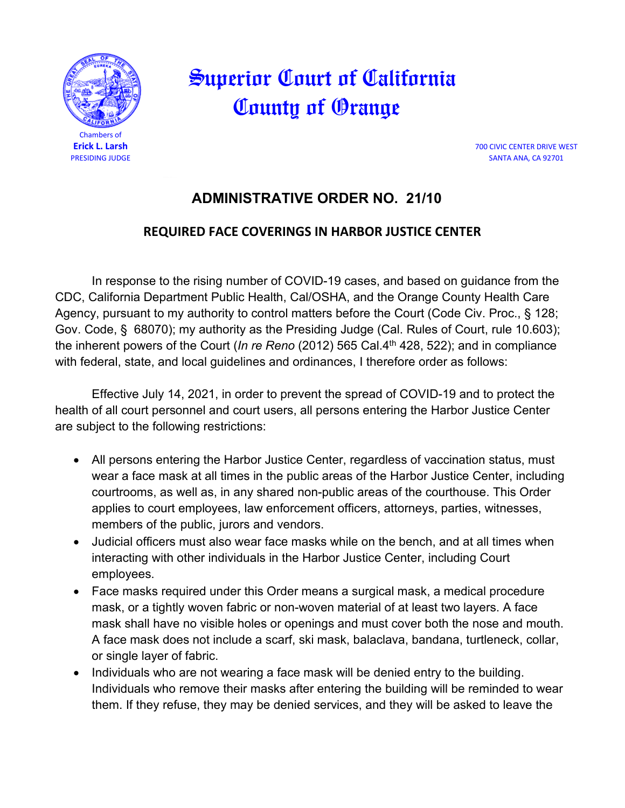

## Superior Court of California County of Orange

**Erick L. Larsh** 700 CIVIC CENTER DRIVE WEST PRESIDING JUDGE SANTA ANA, CA 92701

## **ADMINISTRATIVE ORDER NO. 21/10**

## **REQUIRED FACE COVERINGS IN HARBOR JUSTICE CENTER**

In response to the rising number of COVID-19 cases, and based on guidance from the CDC, California Department Public Health, Cal/OSHA, and the Orange County Health Care Agency, pursuant to my authority to control matters before the Court (Code Civ. Proc., § 128; Gov. Code, § 68070); my authority as the Presiding Judge (Cal. Rules of Court, rule 10.603); the inherent powers of the Court (*In re Reno* (2012) 565 Cal.4<sup>th</sup> 428, 522); and in compliance with federal, state, and local guidelines and ordinances, I therefore order as follows:

Effective July 14, 2021, in order to prevent the spread of COVID-19 and to protect the health of all court personnel and court users, all persons entering the Harbor Justice Center are subject to the following restrictions:

- All persons entering the Harbor Justice Center, regardless of vaccination status, must wear a face mask at all times in the public areas of the Harbor Justice Center, including courtrooms, as well as, in any shared non-public areas of the courthouse. This Order applies to court employees, law enforcement officers, attorneys, parties, witnesses, members of the public, jurors and vendors.
- Judicial officers must also wear face masks while on the bench, and at all times when interacting with other individuals in the Harbor Justice Center, including Court employees.
- Face masks required under this Order means a surgical mask, a medical procedure mask, or a tightly woven fabric or non-woven material of at least two layers. A face mask shall have no visible holes or openings and must cover both the nose and mouth. A face mask does not include a scarf, ski mask, balaclava, bandana, turtleneck, collar, or single layer of fabric.
- Individuals who are not wearing a face mask will be denied entry to the building. Individuals who remove their masks after entering the building will be reminded to wear them. If they refuse, they may be denied services, and they will be asked to leave the